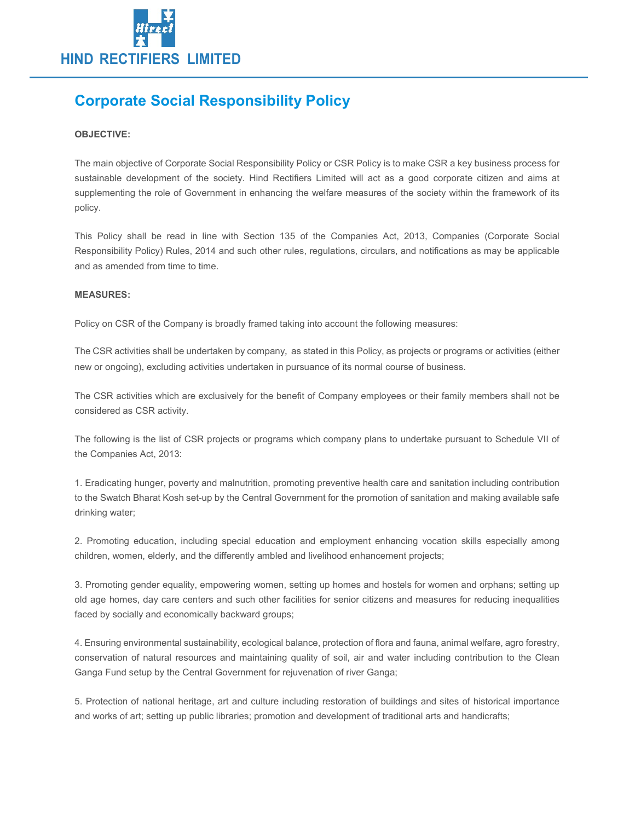

# Corporate Social Responsibility Policy

## OBJECTIVE:

The main objective of Corporate Social Responsibility Policy or CSR Policy is to make CSR a key business process for sustainable development of the society. Hind Rectifiers Limited will act as a good corporate citizen and aims at supplementing the role of Government in enhancing the welfare measures of the society within the framework of its policy.

This Policy shall be read in line with Section 135 of the Companies Act, 2013, Companies (Corporate Social Responsibility Policy) Rules, 2014 and such other rules, regulations, circulars, and notifications as may be applicable and as amended from time to time.

## MEASURES:

Policy on CSR of the Company is broadly framed taking into account the following measures:

The CSR activities shall be undertaken by company, as stated in this Policy, as projects or programs or activities (either new or ongoing), excluding activities undertaken in pursuance of its normal course of business.

The CSR activities which are exclusively for the benefit of Company employees or their family members shall not be considered as CSR activity.

The following is the list of CSR projects or programs which company plans to undertake pursuant to Schedule VII of the Companies Act, 2013:

1. Eradicating hunger, poverty and malnutrition, promoting preventive health care and sanitation including contribution to the Swatch Bharat Kosh set-up by the Central Government for the promotion of sanitation and making available safe drinking water;

2. Promoting education, including special education and employment enhancing vocation skills especially among children, women, elderly, and the differently ambled and livelihood enhancement projects;

3. Promoting gender equality, empowering women, setting up homes and hostels for women and orphans; setting up old age homes, day care centers and such other facilities for senior citizens and measures for reducing inequalities faced by socially and economically backward groups;

4. Ensuring environmental sustainability, ecological balance, protection of flora and fauna, animal welfare, agro forestry, conservation of natural resources and maintaining quality of soil, air and water including contribution to the Clean Ganga Fund setup by the Central Government for rejuvenation of river Ganga;

5. Protection of national heritage, art and culture including restoration of buildings and sites of historical importance and works of art; setting up public libraries; promotion and development of traditional arts and handicrafts;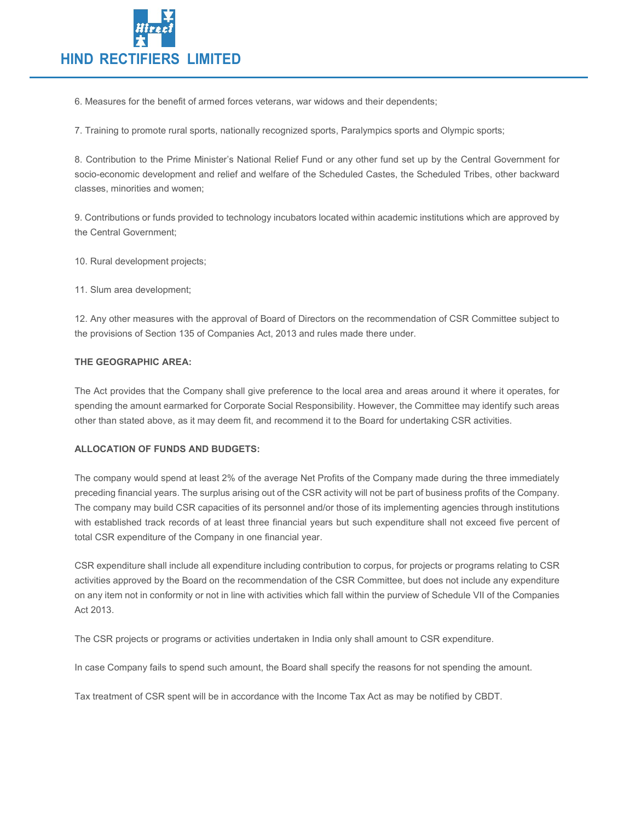

6. Measures for the benefit of armed forces veterans, war widows and their dependents;

7. Training to promote rural sports, nationally recognized sports, Paralympics sports and Olympic sports;

8. Contribution to the Prime Minister's National Relief Fund or any other fund set up by the Central Government for socio-economic development and relief and welfare of the Scheduled Castes, the Scheduled Tribes, other backward classes, minorities and women;

9. Contributions or funds provided to technology incubators located within academic institutions which are approved by the Central Government;

10. Rural development projects;

11. Slum area development;

12. Any other measures with the approval of Board of Directors on the recommendation of CSR Committee subject to the provisions of Section 135 of Companies Act, 2013 and rules made there under.

## THE GEOGRAPHIC AREA:

The Act provides that the Company shall give preference to the local area and areas around it where it operates, for spending the amount earmarked for Corporate Social Responsibility. However, the Committee may identify such areas other than stated above, as it may deem fit, and recommend it to the Board for undertaking CSR activities.

## ALLOCATION OF FUNDS AND BUDGETS:

The company would spend at least 2% of the average Net Profits of the Company made during the three immediately preceding financial years. The surplus arising out of the CSR activity will not be part of business profits of the Company. The company may build CSR capacities of its personnel and/or those of its implementing agencies through institutions with established track records of at least three financial years but such expenditure shall not exceed five percent of total CSR expenditure of the Company in one financial year.

CSR expenditure shall include all expenditure including contribution to corpus, for projects or programs relating to CSR activities approved by the Board on the recommendation of the CSR Committee, but does not include any expenditure on any item not in conformity or not in line with activities which fall within the purview of Schedule VII of the Companies Act 2013.

The CSR projects or programs or activities undertaken in India only shall amount to CSR expenditure.

In case Company fails to spend such amount, the Board shall specify the reasons for not spending the amount.

Tax treatment of CSR spent will be in accordance with the Income Tax Act as may be notified by CBDT.